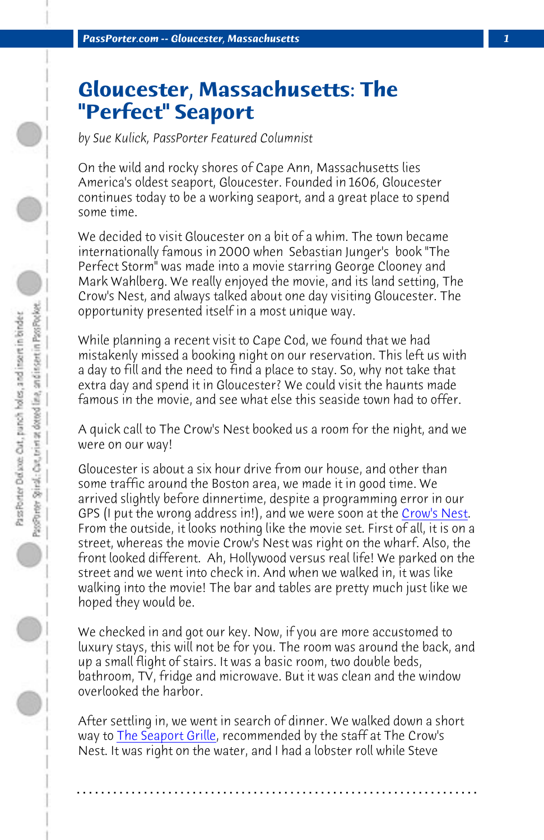*PassPorter.com -- Gloucester, Massachusetts 1*

## **Gloucester, Massachusetts: The "Perfect" Seaport**

*by Sue Kulick, PassPorter Featured Columnist*

On the wild and rocky shores of Cape Ann, Massachusetts lies America's oldest seaport, Gloucester. Founded in 1606, Gloucester continues today to be a working seaport, and a great place to spend some time.

We decided to visit Gloucester on a bit of a whim. The town became internationally famous in 2000 when Sebastian Junger's book "The Perfect Storm" was made into a movie starring George Cloo[ney and](http://www.crowsnestgloucester.com/) Mark Wahlberg. We really enjoyed the movie, and its land setting, The Crow's Nest, and always talked about one day visiting Gloucester. The opportunity presented itself in a most unique way.

While planning a recent visit to Cape Cod, we found that we had mistakenly missed a booking night on our reservation. This left us with a day to fill and the need to find a place to stay. So, why not take that extra day and spend it in Gloucester? We could visit the haunts made famous in the movie, and see what else this seaside town had to offer.

A quick call to The Crow's Nest booked us a room for the night, and we were on our way!

Gloucester is about a six hour drive from our house, and other than some t[raffic around the B](http://www.cruiseportgloucester.com/seaport_dining.htm)oston area, we made it in good time. We arrived slightly before dinnertime, despite a programming error in our GPS (I put the wrong address in!), and we were soon at the Crow's Nest. From the outside, it looks nothing like the movie set. First of all, it is on a street, whereas the movie Crow's Nest was right on the wharf. Also, the front looked different. Ah, Hollywood versus real life! We parked on the street and we went into check in. And when we walked in, it was like walking into the movie! The bar and tables are pretty much just like we hoped they would be.

We checked in and got our key. Now, if you are more accustomed to luxury stays, this will not be for you. The room was around the back, and up a small flight of stairs. It was a basic room, two double beds, bathroom, TV, fridge and microwave. But it was clean and the window overlooked the harbor.

After settling in, we went in search of dinner. We walked down a short way to **The Seaport Grille**, recommended by the staff at The Crow's Nest. It was right on the water, and I had a lobster roll while Steve

**. . . . . . . . . . . . . . . . . . . . . . . . . . . . . . . . . . . . . . . . . . . . . . . . . . . . . . . . . . . . . . . . . .**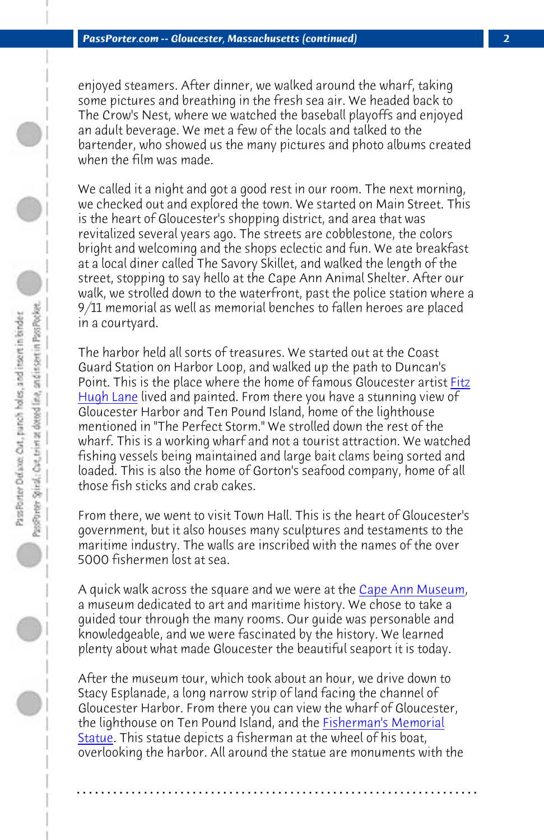*PassPorter.com -- Gloucester, Massachusetts (continued) 2*

enjoyed steamers. After dinner, we walked around the wharf, taking some pictures and breathing in the fresh sea air. We headed back to The Crow's Nest, where we watched the baseball playoffs and enjoyed an adult beverage. We met a few of the locals and talked to the [bartender,](http://www.capeannhistoricalmuseum.org/fine%20art/fitz_hugh_lane.htm) who showed us the many pictures and photo albums cre[ated](http://www.capeannhistoricalmuseum.org/fine%20art/fitz_hugh_lane.htm) when the film was made.

We called it a night and got a good rest in our room. The next morning, we checked out and explored the town. We started on Main Street. This is the heart of Gloucester's shopping district, and area that was revitalized several years ago. The streets are cobblestone, the colors bright and welcoming and the shops eclectic and fun. We ate breakfast at a local diner called The Savory Skillet, and walked the length of the street, stopping to say hello at the Cape Ann Animal Shelter. After our walk, we strolled down to the waterfront, past the police station where a 9/11 memorial as well as memorial benches to fallen heroes are placed in a courtyard.

The harbor held all sorts of treasures. We started o[ut at the Coast](http://www.capeannhistoricalmuseum.org/index.htm) Guard Station on Harbor Loop, and walked up the path to Duncan's Point. This is the place where the home of famous Gloucester artist Fitz Hugh Lane lived and painted. From there you have a stunning view of Gloucester Harbor and Ten Pound Island, home of the lighthouse mentioned in "The Perfect Storm." We strolled down the rest of the wharf. This is a working wharf and not a tourist attraction. We watched fishing vessels being maintained and large bait clams being sorted and loaded. This is also the home of Gorton's sea[food company, home of](http://www.ilovegloucester.com/outdoor-maw.html) all [those f](http://www.ilovegloucester.com/outdoor-maw.html)ish sticks and crab cakes.

From there, we went to visit Town Hall. This is the heart of Gloucester's government, but it also houses many sculptures and testaments to the maritime industry. The walls are inscribed with the names of the over 5000 fishermen lost at sea.

A quick walk across the square and we were at the Cape Ann Museum, a museum dedicated to art and maritime history. We chose to take a guided tour through the many rooms. Our guide was personable and knowledgeable, and we were fascinated by the history. We learned plenty about what made Gloucester the beautiful seaport it is today.

After the museum tour, which took about an hour, we drive down to Stacy Esplanade, a long narrow strip of land facing the channel of Gloucester Harbor. From there you can view the wharf of Gloucester, the lighthouse on Ten Pound Island, and the **Fisherman's Memorial** Statue. This statue depicts a fisherman at the wheel of his boat, overlooking the harbor. All around the statue are monuments with the

**. . . . . . . . . . . . . . . . . . . . . . . . . . . . . . . . . . . . . . . . . . . . . . . . . . . . . . . . . . . . . . . . . .**